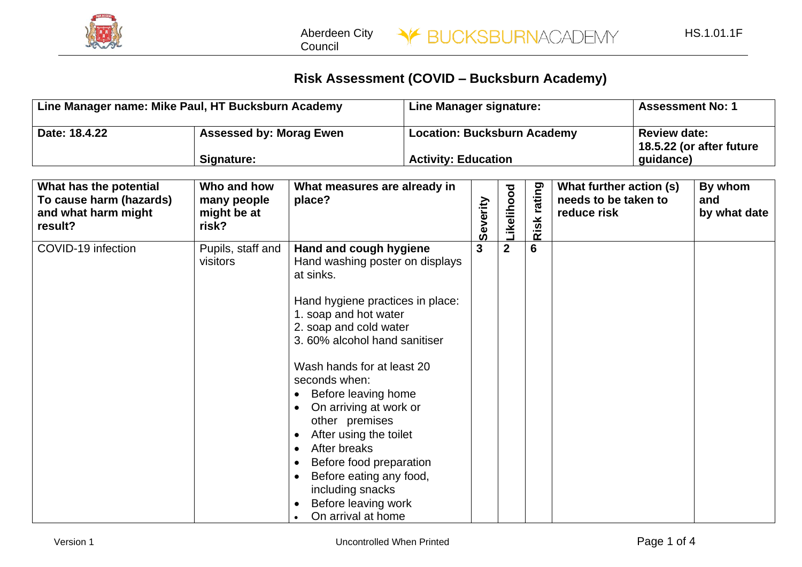

Aberdeen City Council

## **Risk Assessment (COVID – Bucksburn Academy)**

| Line Manager name: Mike Paul, HT Bucksburn Academy                                  |                                                    |                                                                                                                                                                                                                                                                                                                                                                                                                                                                                                                                                                                          | Line Manager signature: |          |                                                              |                | <b>Assessment No: 1</b>                                        |  |                                |
|-------------------------------------------------------------------------------------|----------------------------------------------------|------------------------------------------------------------------------------------------------------------------------------------------------------------------------------------------------------------------------------------------------------------------------------------------------------------------------------------------------------------------------------------------------------------------------------------------------------------------------------------------------------------------------------------------------------------------------------------------|-------------------------|----------|--------------------------------------------------------------|----------------|----------------------------------------------------------------|--|--------------------------------|
| Date: 18.4.22                                                                       | <b>Assessed by: Morag Ewen</b><br>Signature:       | <b>Location: Bucksburn Academy</b><br><b>Activity: Education</b>                                                                                                                                                                                                                                                                                                                                                                                                                                                                                                                         |                         |          | <b>Review date:</b><br>18.5.22 (or after future<br>guidance) |                |                                                                |  |                                |
| What has the potential<br>To cause harm (hazards)<br>and what harm might<br>result? | Who and how<br>many people<br>might be at<br>risk? | What measures are already in<br>place?                                                                                                                                                                                                                                                                                                                                                                                                                                                                                                                                                   |                         | Severity | Likelihood                                                   | rating<br>Risk | What further action (s)<br>needs to be taken to<br>reduce risk |  | By whom<br>and<br>by what date |
| COVID-19 infection                                                                  | Pupils, staff and<br>visitors                      | Hand and cough hygiene<br>Hand washing poster on displays<br>at sinks.<br>Hand hygiene practices in place:<br>1. soap and hot water<br>2. soap and cold water<br>3.60% alcohol hand sanitiser<br>Wash hands for at least 20<br>seconds when:<br>Before leaving home<br>$\bullet$<br>On arriving at work or<br>$\bullet$<br>other premises<br>After using the toilet<br>$\bullet$<br>After breaks<br>$\bullet$<br>Before food preparation<br>$\bullet$<br>Before eating any food,<br>$\bullet$<br>including snacks<br>Before leaving work<br>$\bullet$<br>On arrival at home<br>$\bullet$ |                         | 3        | $\mathbf{2}$                                                 | $6\phantom{1}$ |                                                                |  |                                |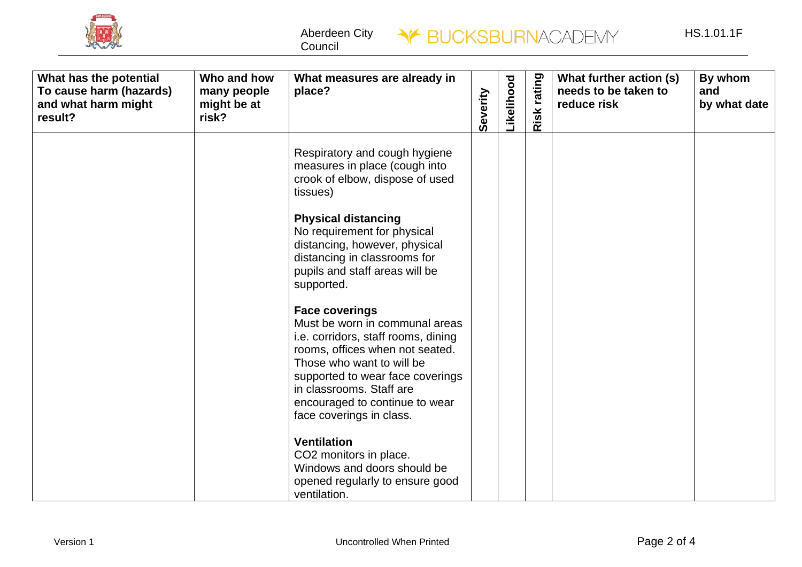

Aberdeen City Council



| What has the potential<br>To cause harm (hazards)<br>and what harm might<br>result? | Who and how<br>many people<br>might be at<br>risk? | What measures are already in<br>place?                                                                                                                                                                                                                                                       | everity | <b>ikelihood</b> | rating<br>isk<br>$\alpha$ | What further action (s)<br>needs to be taken to<br>reduce risk | By whom<br>and<br>by what date |
|-------------------------------------------------------------------------------------|----------------------------------------------------|----------------------------------------------------------------------------------------------------------------------------------------------------------------------------------------------------------------------------------------------------------------------------------------------|---------|------------------|---------------------------|----------------------------------------------------------------|--------------------------------|
|                                                                                     |                                                    | Respiratory and cough hygiene<br>measures in place (cough into<br>crook of elbow, dispose of used<br>tissues)                                                                                                                                                                                |         |                  |                           |                                                                |                                |
|                                                                                     |                                                    | <b>Physical distancing</b><br>No requirement for physical<br>distancing, however, physical<br>distancing in classrooms for<br>pupils and staff areas will be<br>supported.                                                                                                                   |         |                  |                           |                                                                |                                |
|                                                                                     |                                                    | <b>Face coverings</b><br>Must be worn in communal areas<br>i.e. corridors, staff rooms, dining<br>rooms, offices when not seated.<br>Those who want to will be<br>supported to wear face coverings<br>in classrooms. Staff are<br>encouraged to continue to wear<br>face coverings in class. |         |                  |                           |                                                                |                                |
|                                                                                     |                                                    | <b>Ventilation</b><br>CO2 monitors in place.<br>Windows and doors should be<br>opened regularly to ensure good<br>ventilation.                                                                                                                                                               |         |                  |                           |                                                                |                                |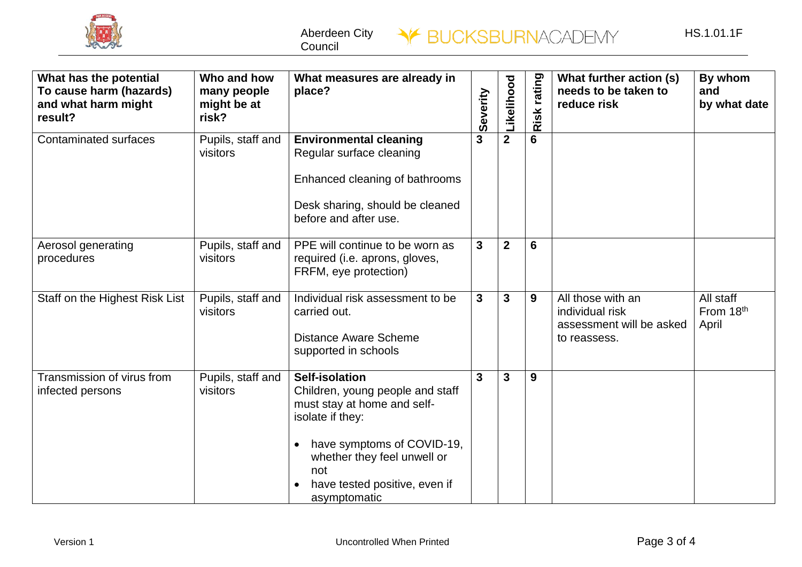

| What has the potential<br>To cause harm (hazards)<br>and what harm might<br>result? | Who and how<br>many people<br>might be at<br>risk? | What measures are already in<br>place?                                                                                                                                                                                            | everity<br>ഗ | <b>ikelihood</b> | rating<br>Risk | What further action (s)<br>needs to be taken to<br>reduce risk                   | By whom<br>and<br>by what date  |
|-------------------------------------------------------------------------------------|----------------------------------------------------|-----------------------------------------------------------------------------------------------------------------------------------------------------------------------------------------------------------------------------------|--------------|------------------|----------------|----------------------------------------------------------------------------------|---------------------------------|
| <b>Contaminated surfaces</b>                                                        | Pupils, staff and<br>visitors                      | <b>Environmental cleaning</b><br>Regular surface cleaning<br>Enhanced cleaning of bathrooms<br>Desk sharing, should be cleaned<br>before and after use.                                                                           | $\mathbf{3}$ | $\overline{2}$   | $6\phantom{1}$ |                                                                                  |                                 |
| Aerosol generating<br>procedures                                                    | Pupils, staff and<br>visitors                      | PPE will continue to be worn as<br>required (i.e. aprons, gloves,<br>FRFM, eye protection)                                                                                                                                        | $\mathbf{3}$ | $\mathbf{2}$     | 6              |                                                                                  |                                 |
| Staff on the Highest Risk List                                                      | Pupils, staff and<br>visitors                      | Individual risk assessment to be<br>carried out.<br><b>Distance Aware Scheme</b><br>supported in schools                                                                                                                          | 3            | 3                | 9              | All those with an<br>individual risk<br>assessment will be asked<br>to reassess. | All staff<br>From 18th<br>April |
| Transmission of virus from<br>infected persons                                      | Pupils, staff and<br>visitors                      | <b>Self-isolation</b><br>Children, young people and staff<br>must stay at home and self-<br>isolate if they:<br>have symptoms of COVID-19,<br>whether they feel unwell or<br>not<br>have tested positive, even if<br>asymptomatic | $\mathbf{3}$ | 3                | 9              |                                                                                  |                                 |